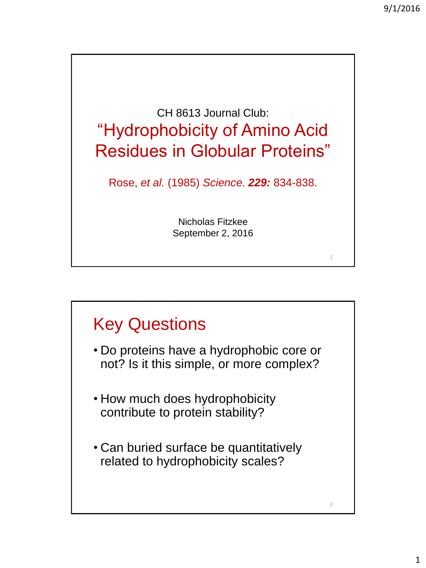1

2

CH 8613 Journal Club: "Hydrophobicity of Amino Acid Residues in Globular Proteins" Rose, *et al.* (1985) *Science. 229:* 834-838.

Nicholas Fitzkee September 2, 2016

## Key Questions

- Do proteins have a hydrophobic core or not? Is it this simple, or more complex?
- How much does hydrophobicity contribute to protein stability?
- Can buried surface be quantitatively related to hydrophobicity scales?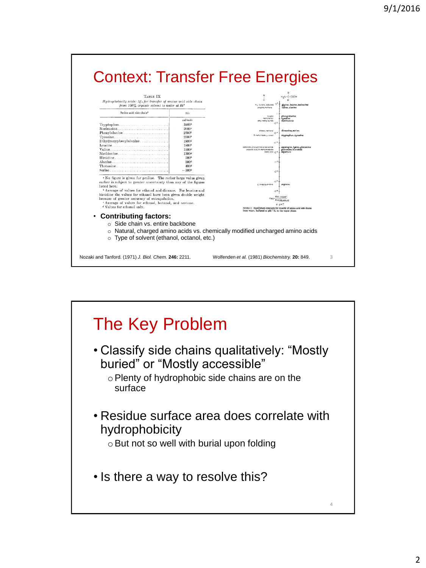

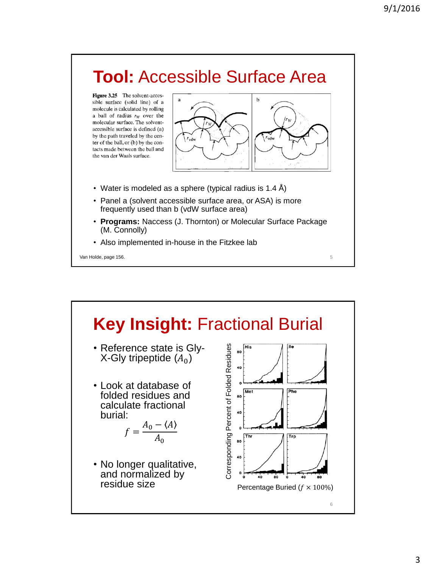## **Tool:** Accessible Surface Area

Figure 3.25 The solvent-accessible surface (solid line) of a molecule is calculated by rolling a ball of radius  $r_W$  over the molecular surface. The solventaccessible surface is defined (a) by the path traveled by the center of the ball, or (b) by the contacts made between the ball and the van der Waals surface.



- Water is modeled as a sphere (typical radius is 1.4  $\AA$ )
- Panel a (solvent accessible surface area, or ASA) is more frequently used than b (vdW surface area)
- **Programs:** Naccess (J. Thornton) or Molecular Surface Package (M. Connolly)
- Also implemented in-house in the Fitzkee lab

Van Holde, page 156. Som i 1999 i 1999 i 1999 i 1999 i 1999 i 1999 i 1999 i 1999 i 1999 i 1999 i 1999 i 1999 i

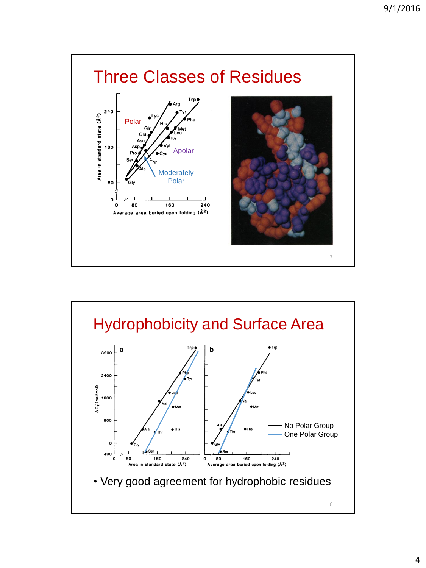